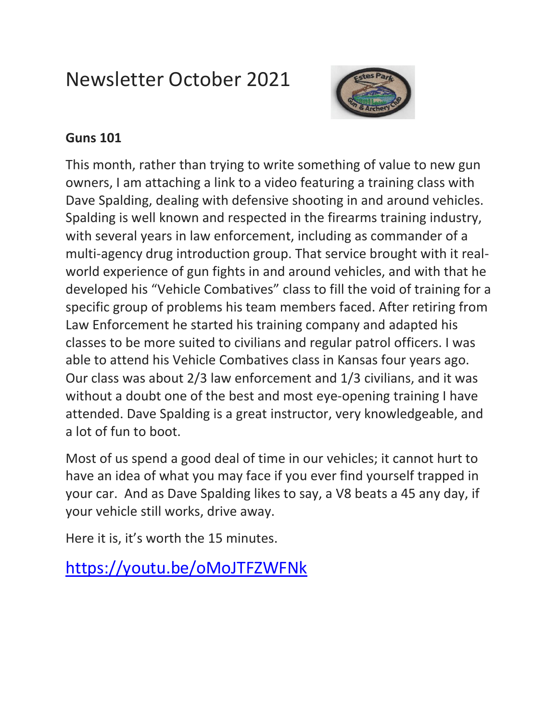# Newsletter October 2021



### **Guns 101**

This month, rather than trying to write something of value to new gun owners, I am attaching a link to a video featuring a training class with Dave Spalding, dealing with defensive shooting in and around vehicles. Spalding is well known and respected in the firearms training industry, with several years in law enforcement, including as commander of a multi-agency drug introduction group. That service brought with it realworld experience of gun fights in and around vehicles, and with that he developed his "Vehicle Combatives" class to fill the void of training for a specific group of problems his team members faced. After retiring from Law Enforcement he started his training company and adapted his classes to be more suited to civilians and regular patrol officers. I was able to attend his Vehicle Combatives class in Kansas four years ago. Our class was about 2/3 law enforcement and 1/3 civilians, and it was without a doubt one of the best and most eye-opening training I have attended. Dave Spalding is a great instructor, very knowledgeable, and a lot of fun to boot.

Most of us spend a good deal of time in our vehicles; it cannot hurt to have an idea of what you may face if you ever find yourself trapped in your car. And as Dave Spalding likes to say, a V8 beats a 45 any day, if your vehicle still works, drive away.

Here it is, it's worth the 15 minutes.

<https://youtu.be/oMoJTFZWFNk>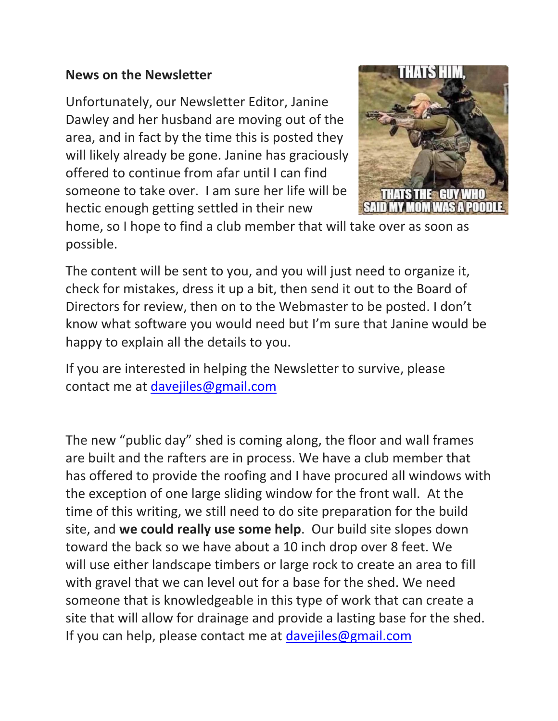#### **News on the Newsletter**

Unfortunately, our Newsletter Editor, Janine Dawley and her husband are moving out of the area, and in fact by the time this is posted they will likely already be gone. Janine has graciously offered to continue from afar until I can find someone to take over. I am sure her life will be hectic enough getting settled in their new



home, so I hope to find a club member that will take over as soon as possible.

The content will be sent to you, and you will just need to organize it, check for mistakes, dress it up a bit, then send it out to the Board of Directors for review, then on to the Webmaster to be posted. I don't know what software you would need but I'm sure that Janine would be happy to explain all the details to you.

If you are interested in helping the Newsletter to survive, please contact me at [davejiles@gmail.com](mailto:davejiles@gmail.com)

The new "public day" shed is coming along, the floor and wall frames are built and the rafters are in process. We have a club member that has offered to provide the roofing and I have procured all windows with the exception of one large sliding window for the front wall. At the time of this writing, we still need to do site preparation for the build site, and **we could really use some help**. Our build site slopes down toward the back so we have about a 10 inch drop over 8 feet. We will use either landscape timbers or large rock to create an area to fill with gravel that we can level out for a base for the shed. We need someone that is knowledgeable in this type of work that can create a site that will allow for drainage and provide a lasting base for the shed. If you can help, please contact me at [davejiles@gmail.com](mailto:davejiles@gmail.com)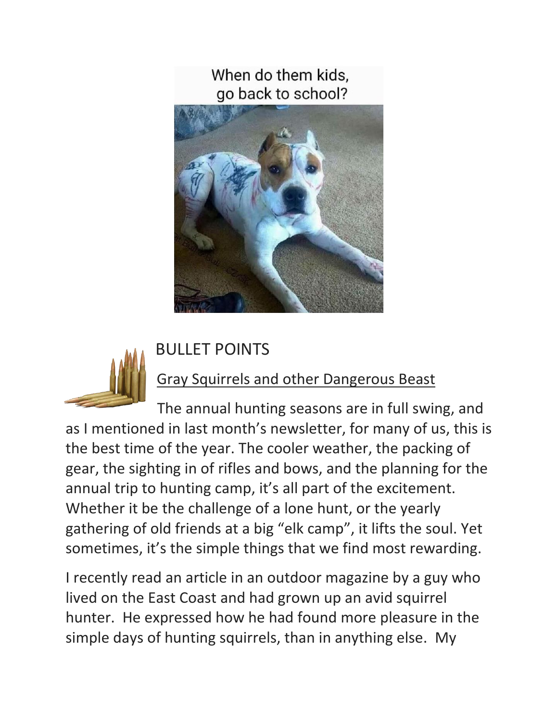When do them kids. go back to school?





## BULLET POINTS

## **Gray Squirrels and other Dangerous Beast**

The annual hunting seasons are in full swing, and as I mentioned in last month's newsletter, for many of us, this is the best time of the year. The cooler weather, the packing of gear, the sighting in of rifles and bows, and the planning for the annual trip to hunting camp, it's all part of the excitement. Whether it be the challenge of a lone hunt, or the yearly gathering of old friends at a big "elk camp", it lifts the soul. Yet sometimes, it's the simple things that we find most rewarding.

I recently read an article in an outdoor magazine by a guy who lived on the East Coast and had grown up an avid squirrel hunter. He expressed how he had found more pleasure in the simple days of hunting squirrels, than in anything else. My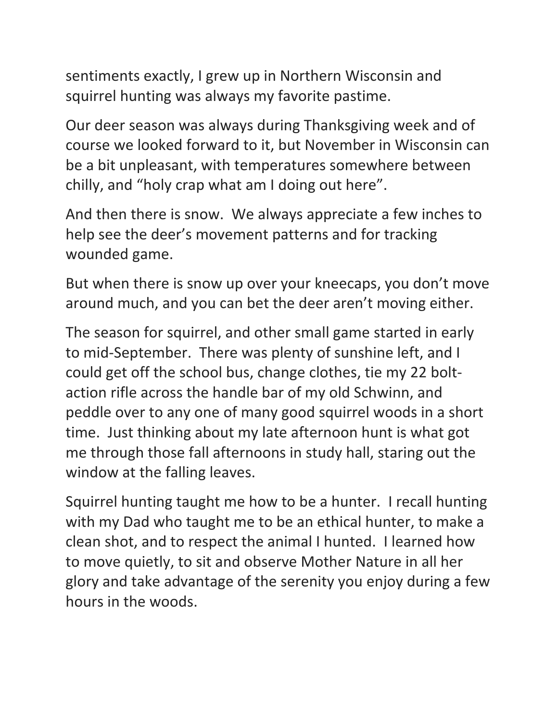sentiments exactly, I grew up in Northern Wisconsin and squirrel hunting was always my favorite pastime.

Our deer season was always during Thanksgiving week and of course we looked forward to it, but November in Wisconsin can be a bit unpleasant, with temperatures somewhere between chilly, and "holy crap what am I doing out here".

And then there is snow. We always appreciate a few inches to help see the deer's movement patterns and for tracking wounded game.

But when there is snow up over your kneecaps, you don't move around much, and you can bet the deer aren't moving either.

The season for squirrel, and other small game started in early to mid-September. There was plenty of sunshine left, and I could get off the school bus, change clothes, tie my 22 boltaction rifle across the handle bar of my old Schwinn, and peddle over to any one of many good squirrel woods in a short time. Just thinking about my late afternoon hunt is what got me through those fall afternoons in study hall, staring out the window at the falling leaves.

Squirrel hunting taught me how to be a hunter. I recall hunting with my Dad who taught me to be an ethical hunter, to make a clean shot, and to respect the animal I hunted. I learned how to move quietly, to sit and observe Mother Nature in all her glory and take advantage of the serenity you enjoy during a few hours in the woods.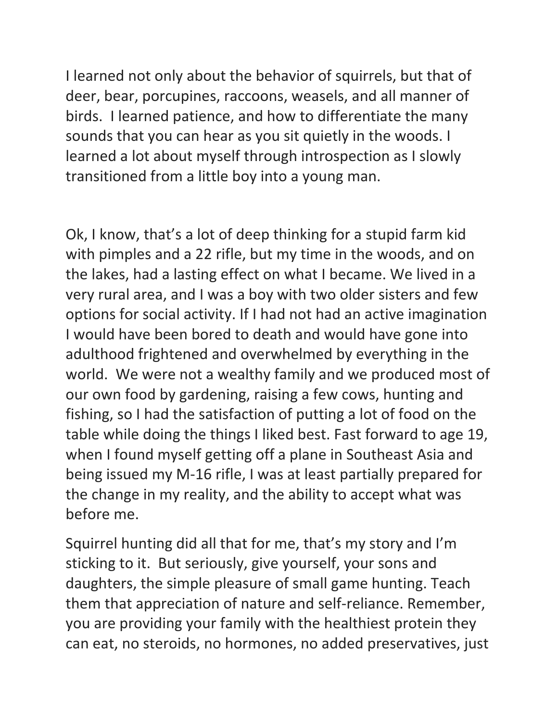I learned not only about the behavior of squirrels, but that of deer, bear, porcupines, raccoons, weasels, and all manner of birds. I learned patience, and how to differentiate the many sounds that you can hear as you sit quietly in the woods. I learned a lot about myself through introspection as I slowly transitioned from a little boy into a young man.

Ok, I know, that's a lot of deep thinking for a stupid farm kid with pimples and a 22 rifle, but my time in the woods, and on the lakes, had a lasting effect on what I became. We lived in a very rural area, and I was a boy with two older sisters and few options for social activity. If I had not had an active imagination I would have been bored to death and would have gone into adulthood frightened and overwhelmed by everything in the world. We were not a wealthy family and we produced most of our own food by gardening, raising a few cows, hunting and fishing, so I had the satisfaction of putting a lot of food on the table while doing the things I liked best. Fast forward to age 19, when I found myself getting off a plane in Southeast Asia and being issued my M-16 rifle, I was at least partially prepared for the change in my reality, and the ability to accept what was before me.

Squirrel hunting did all that for me, that's my story and I'm sticking to it. But seriously, give yourself, your sons and daughters, the simple pleasure of small game hunting. Teach them that appreciation of nature and self-reliance. Remember, you are providing your family with the healthiest protein they can eat, no steroids, no hormones, no added preservatives, just